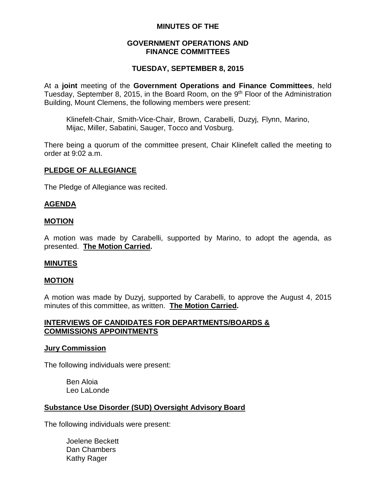# **MINUTES OF THE**

# **GOVERNMENT OPERATIONS AND FINANCE COMMITTEES**

# **TUESDAY, SEPTEMBER 8, 2015**

At a **joint** meeting of the **Government Operations and Finance Committees**, held Tuesday, September 8, 2015, in the Board Room, on the 9<sup>th</sup> Floor of the Administration Building, Mount Clemens, the following members were present:

Klinefelt-Chair, Smith-Vice-Chair, Brown, Carabelli, Duzyj, Flynn, Marino, Mijac, Miller, Sabatini, Sauger, Tocco and Vosburg.

There being a quorum of the committee present, Chair Klinefelt called the meeting to order at 9:02 a.m.

### **PLEDGE OF ALLEGIANCE**

The Pledge of Allegiance was recited.

### **AGENDA**

#### **MOTION**

A motion was made by Carabelli, supported by Marino, to adopt the agenda, as presented. **The Motion Carried.**

#### **MINUTES**

#### **MOTION**

A motion was made by Duzyj, supported by Carabelli, to approve the August 4, 2015 minutes of this committee, as written. **The Motion Carried.**

### **INTERVIEWS OF CANDIDATES FOR DEPARTMENTS/BOARDS & COMMISSIONS APPOINTMENTS**

#### **Jury Commission**

The following individuals were present:

Ben Aloia Leo LaLonde

### **Substance Use Disorder (SUD) Oversight Advisory Board**

The following individuals were present:

Joelene Beckett Dan Chambers Kathy Rager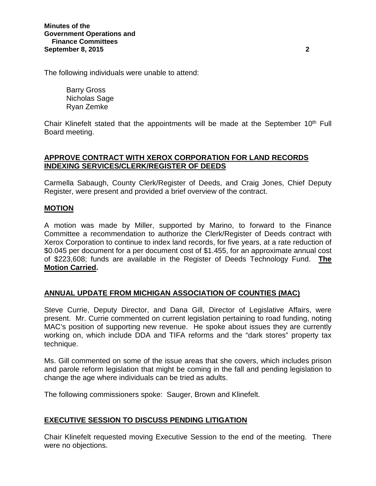The following individuals were unable to attend:

Barry Gross Nicholas Sage Ryan Zemke

Chair Klinefelt stated that the appointments will be made at the September  $10<sup>th</sup>$  Full Board meeting.

# **APPROVE CONTRACT WITH XEROX CORPORATION FOR LAND RECORDS INDEXING SERVICES/CLERK/REGISTER OF DEEDS**

Carmella Sabaugh, County Clerk/Register of Deeds, and Craig Jones, Chief Deputy Register, were present and provided a brief overview of the contract.

# **MOTION**

A motion was made by Miller, supported by Marino, to forward to the Finance Committee a recommendation to authorize the Clerk/Register of Deeds contract with Xerox Corporation to continue to index land records, for five years, at a rate reduction of \$0.045 per document for a per document cost of \$1.455, for an approximate annual cost of \$223,608; funds are available in the Register of Deeds Technology Fund. **The Motion Carried.**

# **ANNUAL UPDATE FROM MICHIGAN ASSOCIATION OF COUNTIES (MAC)**

Steve Currie, Deputy Director, and Dana Gill, Director of Legislative Affairs, were present. Mr. Currie commented on current legislation pertaining to road funding, noting MAC's position of supporting new revenue. He spoke about issues they are currently working on, which include DDA and TIFA reforms and the "dark stores" property tax technique.

Ms. Gill commented on some of the issue areas that she covers, which includes prison and parole reform legislation that might be coming in the fall and pending legislation to change the age where individuals can be tried as adults.

The following commissioners spoke: Sauger, Brown and Klinefelt.

# **EXECUTIVE SESSION TO DISCUSS PENDING LITIGATION**

Chair Klinefelt requested moving Executive Session to the end of the meeting. There were no objections.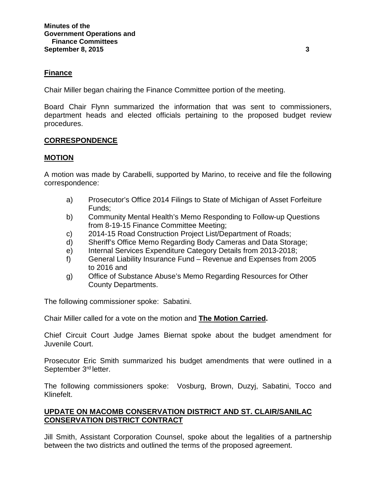# **Finance**

Chair Miller began chairing the Finance Committee portion of the meeting.

Board Chair Flynn summarized the information that was sent to commissioners, department heads and elected officials pertaining to the proposed budget review procedures.

# **CORRESPONDENCE**

### **MOTION**

A motion was made by Carabelli, supported by Marino, to receive and file the following correspondence:

- a) Prosecutor's Office 2014 Filings to State of Michigan of Asset Forfeiture Funds;
- b) Community Mental Health's Memo Responding to Follow-up Questions from 8-19-15 Finance Committee Meeting;
- c) 2014-15 Road Construction Project List/Department of Roads;
- d) Sheriff's Office Memo Regarding Body Cameras and Data Storage;
- e) Internal Services Expenditure Category Details from 2013-2018;
- f) General Liability Insurance Fund Revenue and Expenses from 2005 to 2016 and
- g) Office of Substance Abuse's Memo Regarding Resources for Other County Departments.

The following commissioner spoke: Sabatini.

Chair Miller called for a vote on the motion and **The Motion Carried.**

Chief Circuit Court Judge James Biernat spoke about the budget amendment for Juvenile Court.

Prosecutor Eric Smith summarized his budget amendments that were outlined in a September 3<sup>rd</sup> letter.

The following commissioners spoke: Vosburg, Brown, Duzyj, Sabatini, Tocco and Klinefelt.

# **UPDATE ON MACOMB CONSERVATION DISTRICT AND ST. CLAIR/SANILAC CONSERVATION DISTRICT CONTRACT**

Jill Smith, Assistant Corporation Counsel, spoke about the legalities of a partnership between the two districts and outlined the terms of the proposed agreement.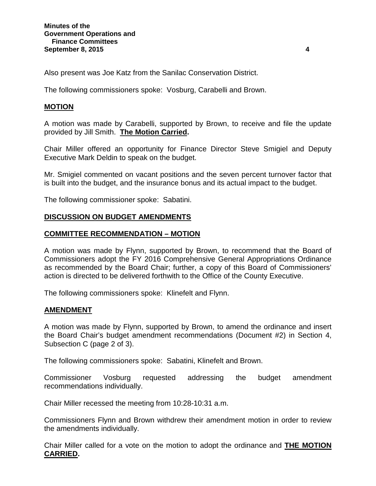Also present was Joe Katz from the Sanilac Conservation District.

The following commissioners spoke: Vosburg, Carabelli and Brown.

# **MOTION**

A motion was made by Carabelli, supported by Brown, to receive and file the update provided by Jill Smith. **The Motion Carried.**

Chair Miller offered an opportunity for Finance Director Steve Smigiel and Deputy Executive Mark Deldin to speak on the budget.

Mr. Smigiel commented on vacant positions and the seven percent turnover factor that is built into the budget, and the insurance bonus and its actual impact to the budget.

The following commissioner spoke: Sabatini.

# **DISCUSSION ON BUDGET AMENDMENTS**

### **COMMITTEE RECOMMENDATION – MOTION**

A motion was made by Flynn, supported by Brown, to recommend that the Board of Commissioners adopt the FY 2016 Comprehensive General Appropriations Ordinance as recommended by the Board Chair; further, a copy of this Board of Commissioners' action is directed to be delivered forthwith to the Office of the County Executive.

The following commissioners spoke: Klinefelt and Flynn.

### **AMENDMENT**

A motion was made by Flynn, supported by Brown, to amend the ordinance and insert the Board Chair's budget amendment recommendations (Document #2) in Section 4, Subsection C (page 2 of 3).

The following commissioners spoke: Sabatini, Klinefelt and Brown.

Commissioner Vosburg requested addressing the budget amendment recommendations individually.

Chair Miller recessed the meeting from 10:28-10:31 a.m.

Commissioners Flynn and Brown withdrew their amendment motion in order to review the amendments individually.

Chair Miller called for a vote on the motion to adopt the ordinance and **THE MOTION CARRIED.**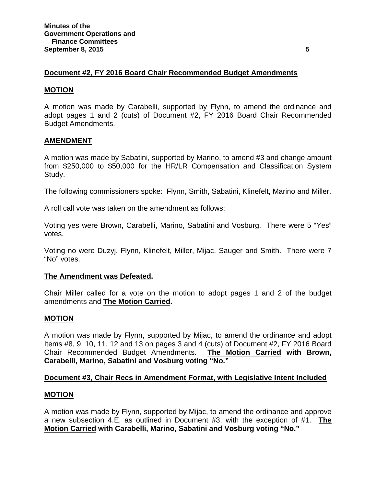### **Document #2, FY 2016 Board Chair Recommended Budget Amendments**

#### **MOTION**

A motion was made by Carabelli, supported by Flynn, to amend the ordinance and adopt pages 1 and 2 (cuts) of Document #2, FY 2016 Board Chair Recommended Budget Amendments.

### **AMENDMENT**

A motion was made by Sabatini, supported by Marino, to amend #3 and change amount from \$250,000 to \$50,000 for the HR/LR Compensation and Classification System Study.

The following commissioners spoke: Flynn, Smith, Sabatini, Klinefelt, Marino and Miller.

A roll call vote was taken on the amendment as follows:

Voting yes were Brown, Carabelli, Marino, Sabatini and Vosburg. There were 5 "Yes" votes.

Voting no were Duzyj, Flynn, Klinefelt, Miller, Mijac, Sauger and Smith. There were 7 "No" votes.

#### **The Amendment was Defeated.**

Chair Miller called for a vote on the motion to adopt pages 1 and 2 of the budget amendments and **The Motion Carried.**

#### **MOTION**

A motion was made by Flynn, supported by Mijac, to amend the ordinance and adopt Items #8, 9, 10, 11, 12 and 13 on pages 3 and 4 (cuts) of Document #2, FY 2016 Board Chair Recommended Budget Amendments. **The Motion Carried with Brown, Carabelli, Marino, Sabatini and Vosburg voting "No."**

#### **Document #3, Chair Recs in Amendment Format, with Legislative Intent Included**

#### **MOTION**

A motion was made by Flynn, supported by Mijac, to amend the ordinance and approve a new subsection 4.E, as outlined in Document #3, with the exception of #1. **The Motion Carried with Carabelli, Marino, Sabatini and Vosburg voting "No."**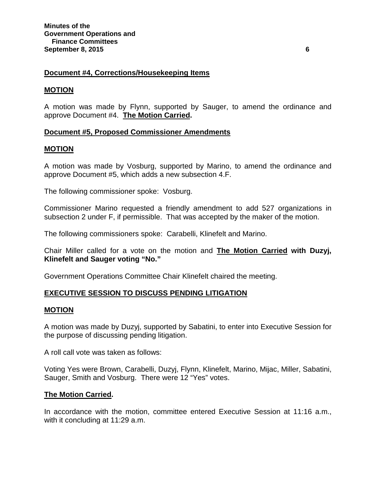# **Document #4, Corrections/Housekeeping Items**

#### **MOTION**

A motion was made by Flynn, supported by Sauger, to amend the ordinance and approve Document #4. **The Motion Carried.**

### **Document #5, Proposed Commissioner Amendments**

#### **MOTION**

A motion was made by Vosburg, supported by Marino, to amend the ordinance and approve Document #5, which adds a new subsection 4.F.

The following commissioner spoke: Vosburg.

Commissioner Marino requested a friendly amendment to add 527 organizations in subsection 2 under F, if permissible. That was accepted by the maker of the motion.

The following commissioners spoke: Carabelli, Klinefelt and Marino.

Chair Miller called for a vote on the motion and **The Motion Carried with Duzyj, Klinefelt and Sauger voting "No."**

Government Operations Committee Chair Klinefelt chaired the meeting.

### **EXECUTIVE SESSION TO DISCUSS PENDING LITIGATION**

#### **MOTION**

A motion was made by Duzyj, supported by Sabatini, to enter into Executive Session for the purpose of discussing pending litigation.

A roll call vote was taken as follows:

Voting Yes were Brown, Carabelli, Duzyj, Flynn, Klinefelt, Marino, Mijac, Miller, Sabatini, Sauger, Smith and Vosburg. There were 12 "Yes" votes.

### **The Motion Carried.**

In accordance with the motion, committee entered Executive Session at 11:16 a.m., with it concluding at 11:29 a.m.